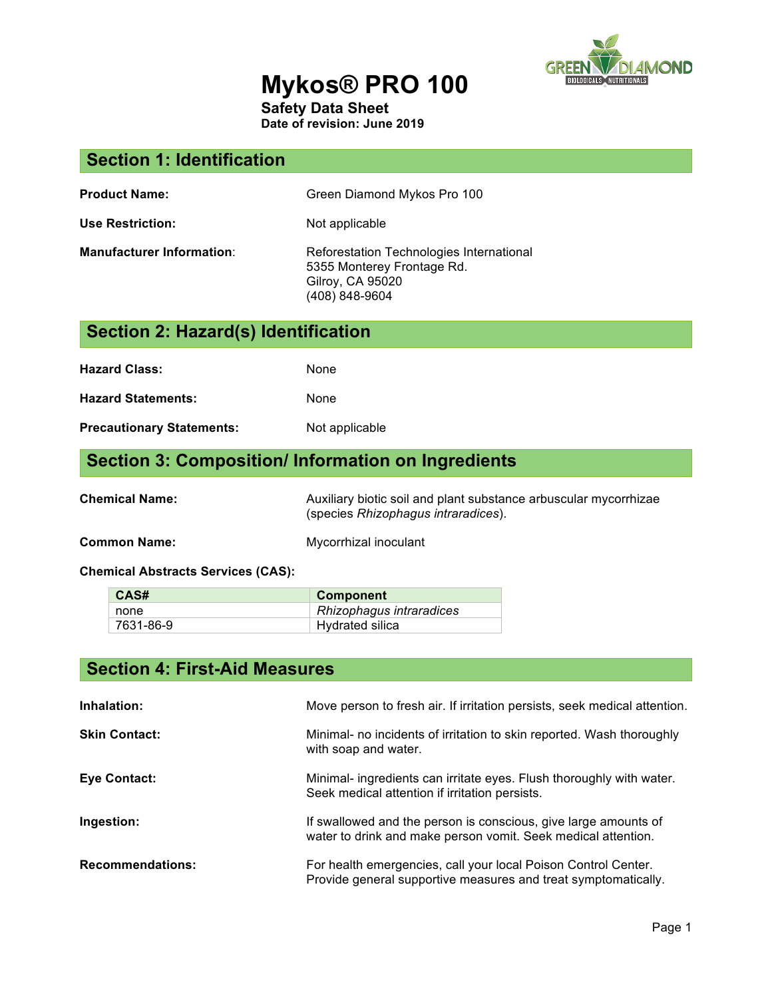

## **Mykos® PRO 100**

**Safety Data Sheet**

**Date of revision: June 2019**

#### **Section 1: Identification**

| <b>Product Name:</b> | Green Diamond Mykos Pro 100 |
|----------------------|-----------------------------|
|----------------------|-----------------------------|

Use Restriction: Not applicable

**Manufacturer Information:** Reforestation Technologies International 5355 Monterey Frontage Rd. Gilroy, CA 95020 (408) 848-9604

# **Section 2: Hazard(s) Identification Hazard Class:** None **Hazard Statements:** None

**Precautionary Statements:** Not applicable

#### **Section 3: Composition/ Information on Ingredients**

**Chemical Name:** Auxiliary biotic soil and plant substance arbuscular mycorrhizae (species *Rhizophagus intraradices*).

**Common Name:** Mycorrhizal inoculant

**Chemical Abstracts Services (CAS):**

| CAS#      | Component                |
|-----------|--------------------------|
| none      | Rhizophagus intraradices |
| 7631-86-9 | Hydrated silica          |

| <b>Section 4: First-Aid Measures</b> |                                                                                                                                  |  |
|--------------------------------------|----------------------------------------------------------------------------------------------------------------------------------|--|
| Inhalation:                          | Move person to fresh air. If irritation persists, seek medical attention.                                                        |  |
| <b>Skin Contact:</b>                 | Minimal- no incidents of irritation to skin reported. Wash thoroughly<br>with soap and water.                                    |  |
| <b>Eye Contact:</b>                  | Minimal- ingredients can irritate eyes. Flush thoroughly with water.<br>Seek medical attention if irritation persists.           |  |
| Ingestion:                           | If swallowed and the person is conscious, give large amounts of<br>water to drink and make person vomit. Seek medical attention. |  |
| <b>Recommendations:</b>              | For health emergencies, call your local Poison Control Center.<br>Provide general supportive measures and treat symptomatically. |  |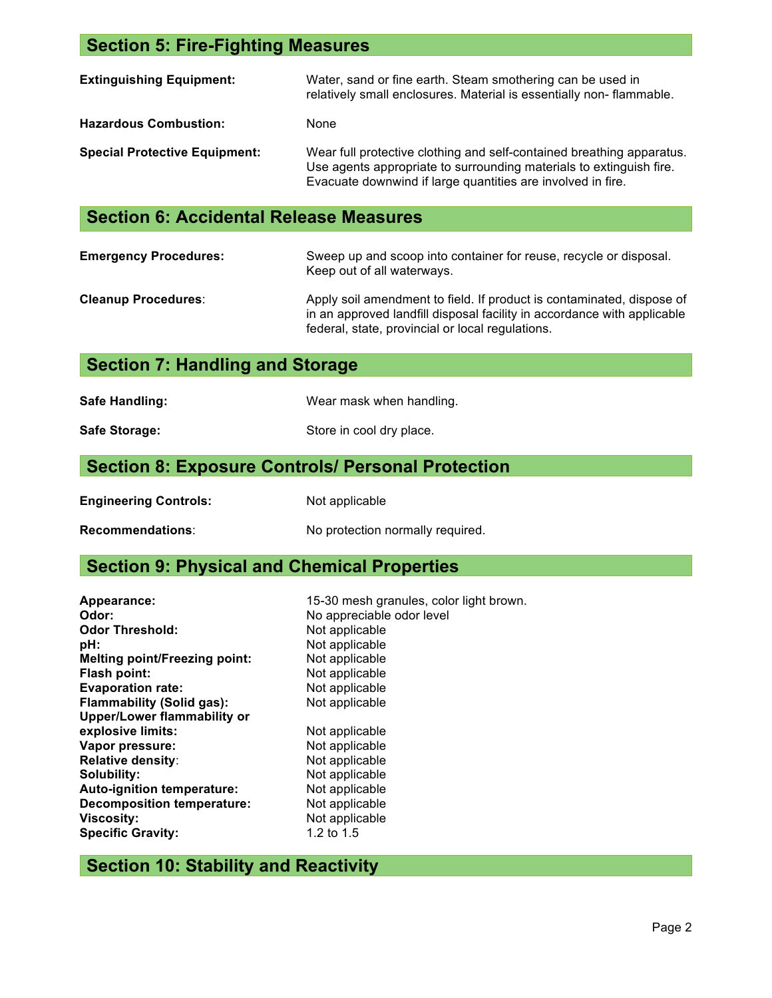#### **Section 5: Fire-Fighting Measures**

| <b>Extinguishing Equipment:</b>      | Water, sand or fine earth. Steam smothering can be used in<br>relatively small enclosures. Material is essentially non-flammable.                                                                           |
|--------------------------------------|-------------------------------------------------------------------------------------------------------------------------------------------------------------------------------------------------------------|
| <b>Hazardous Combustion:</b>         | None                                                                                                                                                                                                        |
| <b>Special Protective Equipment:</b> | Wear full protective clothing and self-contained breathing apparatus.<br>Use agents appropriate to surrounding materials to extinguish fire.<br>Evacuate downwind if large quantities are involved in fire. |

#### **Section 6: Accidental Release Measures**

| <b>Emergency Procedures:</b> | Sweep up and scoop into container for reuse, recycle or disposal.<br>Keep out of all waterways.                                                                                                      |
|------------------------------|------------------------------------------------------------------------------------------------------------------------------------------------------------------------------------------------------|
| <b>Cleanup Procedures:</b>   | Apply soil amendment to field. If product is contaminated, dispose of<br>in an approved landfill disposal facility in accordance with applicable<br>federal, state, provincial or local regulations. |

### **Section 7: Handling and Storage**

| <b>Safe Handling:</b> |  |
|-----------------------|--|
|-----------------------|--|

**Safe Handling:** Wear mask when handling.

Safe Storage: Safe Store in cool dry place.

#### **Section 8: Exposure Controls/ Personal Protection**

**Engineering Controls:** Not applicable

**Recommendations:** No protection normally required.

#### **Section 9: Physical and Chemical Properties**

| Appearance:                          | 15-30 mesh granules, color light brown. |
|--------------------------------------|-----------------------------------------|
| Odor:                                | No appreciable odor level               |
| <b>Odor Threshold:</b>               | Not applicable                          |
| pH:                                  | Not applicable                          |
| <b>Melting point/Freezing point:</b> | Not applicable                          |
| <b>Flash point:</b>                  | Not applicable                          |
| <b>Evaporation rate:</b>             | Not applicable                          |
| <b>Flammability (Solid gas):</b>     | Not applicable                          |
| <b>Upper/Lower flammability or</b>   |                                         |
| explosive limits:                    | Not applicable                          |
| Vapor pressure:                      | Not applicable                          |
| <b>Relative density:</b>             | Not applicable                          |
| Solubility:                          | Not applicable                          |
| <b>Auto-ignition temperature:</b>    | Not applicable                          |
| <b>Decomposition temperature:</b>    | Not applicable                          |
| <b>Viscosity:</b>                    | Not applicable                          |
| <b>Specific Gravity:</b>             | 1.2 to $1.5$                            |

#### **Section 10: Stability and Reactivity**